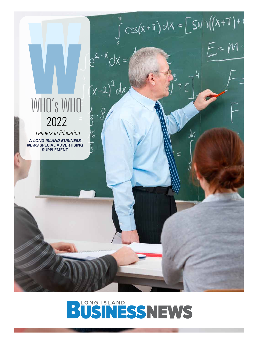

## USINESSNEWS BŬ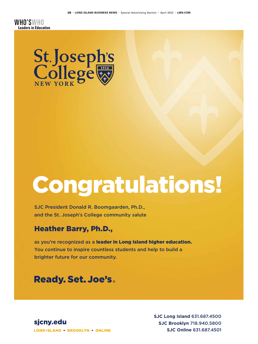

## Congratulations!

SJC President Donald R. Boomgaarden, Ph.D., and the St. Joseph's College community salute

#### Heather Barry, Ph.D.,

as you're recognized as a leader in Long Island higher education. You continue to inspire countless students and help to build a brighter future for our community.

## **Ready. Set. Joe's.**

**SJC Long Island** 631.687.4500 **SJC Brooklyn** 718.940.5800 **SJC Online** 631.687.4501

LONG ISLAND . BROOKLYN . ONLINE

sjcny.edu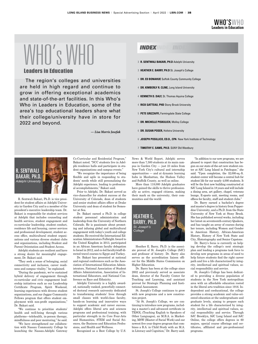# WHO's WHO

#### Leaders in Education

The region's colleges and universities are held in high regard and continue to grow in offering exceptional academics and state-of-the-art facilities. In this Who's Who in Leaders in Education, some of the area's top educational leaders share what their college/university have in store for 2022 and beyond.

*— Lisa Morris Josefak*

#### *INDEXINDEXINDEX*

**3 R. SENTWALI BAKARI, PH.D** Adelphi University

- **3 HEATHER E. BARRY, PH.D** St. Joseph's College
- **4 DR. ED BONAHUE** Suffolk County Community College
- **4 DR. KIMBERLY R. CLINE,** Long Island University
- **4 KENNETH D. DALY,** St. Thomas Aquina College
- **4 RICK GATTEAU, PHD** Stony Brook University
- **5 PETE GRIZZAFFI,** Farmingdale State College
- **6 DR. MICHELLE PISKULICH,** Molloy College
- **6 DR. SUSAN POSER,** Hofstra University
- **6 JOSEPH POSILLICO, ED.D., CPA** New York Institute of Technology
- **7 TIMOTHY E. SAMS, PH.D.** SUNY Old Westbury

News & World Report, Adelphi serves more than 7,500 students at its main campus in Garden City — just 23 miles from New York City's cultural and internship opportunities — and at dynamic learning hubs in Manhattan, the Hudson Valley and Suffolk County, as well as online.

More than 118,000 Adelphi graduates have gained the skills to thrive professionally as active, engaged citizens, making their mark on the university, their communities and the world.



Heather E. Barry, Ph.D. is the associate provost of St. Joseph's College (SJC) and professor of history. Dr. Barry also serves as the accreditation liaison officer for the Middle States Commission on Higher Education.

Dr. Barry has been at the college since 2002 and previously served as associate dean, director of the Faculty Center for Teaching and Learning, and assistant provost for Strategic Planning and Institutional Assessment.

St. Joseph's College continues to grow with new programs and a new construction project.

"At St. Joseph's College, we are continuing to introduce new programs, including a master's and advanced certificate in TESOL (Teaching English to Speakers of Other Languages), an M.B.A. in Marketing, MSW (Master of Social Work) and our newest five-year degree program that combines a B.A. in Child Study with an M.A. in Literacy and Cognition," Dr. Barry said.

"In addition to our new programs, we are pleased to report that construction has begun on our state-of-the-art new student center at SJC Long Island in Patchogue," she said. "Upon completion, the 32,000-sq.-ft. student center will become a central hub for student life for our nearly 4,000 students. It will be the first new building constructed at SJC Long Island in 18 years and will include a dining area, art gallery, chapel, veterans lounge, E-sports unit, meeting rooms, and offices for faculty, staff and student clubs."

Dr. Barry earned a bachelor's degree and master's degree in history from Pepperdine University, and a Ph.D. from the State University of New York at Stony Brook. She has published several works, including her latest on seventeenth-century Quakers, and has taught an array of courses during her tenure, including Women and Gender in American History, African-American History, History of New York State and City, Historiography and Senior Capstone.

Dr. Barry's focus is currently on helping develop the college's next strategic plan and leading a programs task force to develop new programs in areas of need to help future students find the right career path and live a life characterized by integrity, intellectual and spiritual values, social responsibility and service.

St. Joseph's College has been dedicated to providing a diverse population of students in the New York metropolitan area with an affordable education rooted in the liberal arts tradition since 1916. Independent and coeducational, the college provides a strong academic and value-oriented education at the undergraduate and graduate levels, aiming to prepare each student for a life characterized by integrity, intellectual and spiritual values, social responsibility and service. Through SJC Brooklyn, SJC Long Island and SJC Online, the college offers degrees in 60 majors, special course offerings and certificates, affiliated and pre-professional programs.



R. Sentwali Bakari, Ph.D. is vice president for student affairs at Adelphi University in Garden City and is a member of the president's executive leadership team. Dr. Bakari is responsible for student services at Adelphi that includes counseling and health services, student engagement and co-curricular leadership, student conduct, residence life and housing, career services and professional development, student access office, multicultural student organizations and various diverse student clubs and organizations, including Student and Parent Orientation and Student Access.

Adelphi students are resilient and have a strong desire for meaningful engagement, Dr. Bakari said.

"They seek a sense of belonging, social connectivity and inclusion, career readiness and campus vitality," he explained.

"During the pandemic, we've sustained hybrid delivery of engagement through co-curricular and civic engagement leadership initiatives such as our Leadership Certificate Program, Spirit Weekend, learning experiences with diverse student organizations, and our Jaggar Community Fellows program that offers student employment with non-profit organizations," Dr. Bakari said.

"We continue to prioritize students' health and well-being through various platforms—telehealth, in-person therapy, mindfulness and peer mentoring," he said.

"We have strengthened our collaboration with Nassau Community College by launching the Nassau-Adelphi Gateway Co-Curricular and Residential Program," Bakari noted. "NCC students live in Adelphi residence halls and participate in student organizations and campus events."

"We recognize the importance of being flexible and agile in responding to students' needs while still personalizing the Adelphi experience, leading to professional accomplishments," Bakari said.

Prior to Adelphi, Dr. Bakari served as vice-chancellor for student success at the University of Colorado, dean of students and senior student affairs officer at Drake University and dean of student for Semester at Sea.

Dr. Bakari earned a Ph.D. in college student personnel administration and leadership from the University of Northern Colorado. He is passionate about promoting and infusing global and multicultural engagement with today's youth and college students. He received the International Education Administrators Fulbright Award to the United Kingdom in 2013, participated in an African American faculty delegation to Israel in 2012, and co-led faculty/staff-directed travel courses to Egypt and Turkey.

Dr. Bakari has presented at national and regional conferences such as the Association of International Education Administrators, National Association of Student Affairs Administration, Association of International Educators, and National Conference on Race and Ethnicity.

Adelphi University is a highly awarded, nationally ranked, powerfully connected doctoral research university dedicated to transforming students' lives through small classes with world-class faculty, hands-on learning and innovative ways to support academic and career success. Adelphi offers liberal arts and sciences programs and professional training, with particular strength in its Core Four-Arts and Humanities, STEM and Social Sciences, the Business and Education Professions, and Health and Wellness.

Recognized as a Best College by U.S.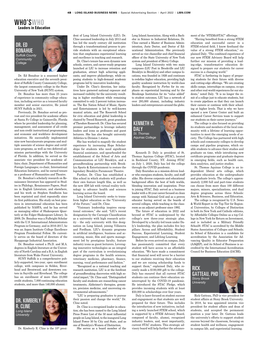

Dr. Ed Bonahue is a seasoned higher education executive and the seventh president of Suffolk County Community College, the largest community college in the State University of New York (SUNY) system.

Dr. Bonahue has more than 25 years of experience in community college education, including service as a tenured faculty member and senior executive, He joined SUNY Suffolk in 2021.

Previously, Dr. Bonahue served as provost and vice president for academic affairs at Santa Fe College in Gainesville, Florida where he provided leadership for planning, management, and assessment of all credit and non-credit instructional programming, and economic and workforce development initiatives. He successfully implemented nine new baccalaureate programs and multiple associate of science degree and certificate programs, as well as two deferred-admission partnerships with the University of Florida. In addition, he served as the associate vice president for academic affairs; chair, Department of Humanities and Foreign Languages; co-chair, International Education Initiative, and he earned tenure as a professor of Humanities and Theatre.

Dr. Bonahue's scholarly research on Renaissance literature has appeared in Studies in Philology, Renaissance Papers, Studies in English Literature, and elsewhere, and his work on Stephen Sondheim has been reprinted and cited repeatedly since its first publication. His study on best practices in international education has been published by NASPA, and he has served as managing editor of Shakespeare Quarterly at the Folger Shakespeare Library. In 2009, Dr. Bonahue was a Fulbright Scholar with the U.S. International Administrators Program in Germany, and in 2016-2017, he was an Aspen Institute College Excellence Program Presidential Fellow. He currently serves on the board of directors of the Hauppauge Industrial Association.

Dr. Bonahue earned a Ph.D. and M.A. degrees in English literature at the University of North Carolina and a B.A. in English literature from Wake Forest University.

SUNY Suffolk is a comprehensive publicly-supported, two-year, open enrollment college, with campuses in Selden, Riverhead and Brentwood, and downtown centers in Sayville and Riverhead. The college has an enrollment of more than 23,000 credit students, 7,000 continuing education students, and more than 140,000 alumni.



Dr. Kimberly R. Cline is the 10<sup>th</sup> presi-

dent of Long Island University (LIU). Dr. Cline assumed leadership in July 2013 and has led the nearly century old institution through a transformational process to provide students with an exceptional education that emphasizes experiential learning and excellence in teaching and research.

Dr. Cline's tenure has seen dynamic new schools, centers, and career-ready programs launched at LIU to increase retention and graduation, attract high achieving applicants, and improve philanthropy, while exposing students to high-demand academic programs led by innovative leadership.

Under Dr. Cline's direction, her initiatives have garnered national exposure and increased visibility for the university resulting in higher enrollment while remaining committed to only 2 percent tuition increases. The Roc Nation School of Music, Sports and Entertainment is led by well-known musical artists, and The Roosevelt School for civic education and global leadership is chaired by Tweed Roosevelt, great grandson of Theodore Roosevelt. Dr. Cline has secured premier partnerships to leverage industry leaders and icons as professors and guest lecturers. She has also brought university Athletics to Division 1 status.

She has worked to magnify the student experience by increasing Hope Scholarships for students who need significant financial assistance, and spearheaded the establishment of the School of Arts and Communication at LIU Brooklyn, and a groundbreaking partnership with Brooklyn Sports & Entertainment to restore the legendary Brooklyn Paramount Theatre.

Further, Dr. Cline has established a film school in which students will produce their own feature length film, as well as the new 3DS lab with virtual reality technology to advance health and sciences learning across the board.

Long Island University seeks to transform higher education as the "University of the Future," said Dr, Cline.

"Visionary leadership inspires exceptional outcomes," she said. "LIU's recent designation by the Carnegie Classification as a university with high research activity - the only university with this designation on Long Island, joining Villanova and Fordham. LIU's dynamic programs in artificial intelligence, business and accounting, music, film and sports management led by prestigious faculty, feature industry icons as guest lecturers. Leveraging innovative technologies as an integral part of the curriculum is revolutionizing degree programs in the health sciences, veterinary medicine, pharmacy, finance, nursing, vocal performance and fashion."

"Recognized as a national teaching and research institution, LIU is at the forefront of groundbreaking discoveries with high societal impact," Dr. Cline said. "Distinguished faculty and students are researching cancer treatments, Alzheimer's therapies, genomics, precision medicine, and uncovering environmental advancements."

"LIU is preparing graduates to pursue their passion and change the world," Dr. Cline noted.

Dr. Cline is a recognized leader in education; she has been named to the Long Island Press Power List of the 50 most influential people on Long Island, to the inaugural Long Island Power 50 by City and State, and as one of Brooklyn's Women of Distinction.

She serves as a board member of the

Long Island Association. Along with a Bachelor in Science in Industrial Relations, Dr. Cline earned a Master of Business Administration, Juris Doctor, and Doctor of Educational Administration. She previously served as vice chancellor and chief financial officer of the State University of New York system and president of Mercy College.

Long Island University with two main campuses (LIU Post in Brookville and LIU Brooklyn in Brooklyn) and other campus locations, was founded in 1926 and continues to redefine higher education, providing high quality academic instruction by world-class faculty. Recognized by *Forbes* for its emphasis on experiential learning and by the Brookings Institution for its "value added" to student outcomes, LIU has a network of over 285,000 alumni, including industry leaders and entrepreneurs around the globe.



Kenneth D. Daly is president of St. Thomas Aquinas College (STAC), located in Rockland County, NY. Joining STAC on July 1, 2020, Daly has led the college through the COVID pandemic.

Daly flourishes as a mission-driven leader who energizes students, faculty, and staff alike. His diverse corporate and educational background offers the best of both worlds, blending innovation and inspiration. Prior to joining STAC, Daly served as a business leader with a 30-year career focused on clean energy with National Grid and as a proven educator having served on the boards of several colleges, while teaching in the classroom as an adjunct professor since 1992.

The future of education in 2022 and beyond at STAC is underpinned by the college's new three-year strategic plan. Developed by a faculty-led team under Daly's leadership, the plan includes five key pillars: Access and Affordability, Student Success, Experiential Learning, Student Engagement, and Lifelong Learning.

Before he even arrived on campus, Daly has passionately committed that every student will have access to an affordable education. "We have made a commitment that financial need will never be a barrier to our students receiving their education and we are raising scholarship funds to support them," explained Daly, who recently made a \$100,000 gift to the college. Daly has ensured that all current STAC students can continue their education uninterrupted by the COVID-19 pandemic. He introduced the STAC Pledge, which provides incoming students with at least \$50,000 in scholarships over four years.

Daly is laser-focused on student success and engagement so that students are well prepared for their future. This includes the introduction of new initiatives, including a newly launched STEM school, which is supported by a STEM Advisory Board, composed of faculty, alumni, recognized industry leaders, and, most importantly, current STAC students. This strategic advisory board will help further the advancement of the "STEM@STAC" offerings.

"Having benefited from a strong STEM education and successful career in a STEM-related field, I know firsthand the value of a strong STEM education," explained Daly. "The combined experience of our new STEM Advisory Board will help further our mission of providing a leading-edge, transformative education designed to prepare our students for career success in a changing world."

STAC is furthering its legacy of preparing students for their future with diverse and cutting-edge offerings. "We are creating skills camps, internships on campus, co-ops and other real-world experiences for our students," noted Daly. "It is no longer the remit of a college just to educate students, but to create pipelines so that they can launch their careers or continue with their schooling at higher levels. That is why we have opened a new Career Center and built an enhanced Career Services team to support our students on their career journeys."

The college is also focused on providing its students and members of the local community with a lifetime of learning opportunities to meet the emerging needs of society. The College has partnered with high schools and community colleges to develop camps and pipeline programs, which enable students to advance their studies and graduate on time, while introducing new certificate programs and graduate degrees in emerging fields, such as health care, data analytics, and justice studies.

St. Thomas Aquinas College is an independent liberal arts college, which provides education at the undergraduate and graduate levels. The college's approximately 2,000 full and part-time students can choose from more than 100 different majors, minors, specializations, and dual degree programs across three Schools: Arts & Sciences, Business, and Education.

The college is recognized by U.S. News & World Report in the Top-Tier for Regional Universities, by Colleges of Distinction in both its New York and Catholic editions, by Affordable Colleges Online as a top College in New York for Return on Investment, and is included as a Military Friendly School®. STAC is accredited by the Middle States Association of Colleges and Schools; its School of Education is a candidate for accreditation by the Association for Advancing Quality in Educator Preparation (AAQEP), and its School of Business is accredited by the International Accreditation Council for Business Education (IACBE).



Rick Gatteau, PhD is vice president for student affairs at Stony Brook University. In 2018, he was appointed interim vice president for student affairs and dean of students, and accepted the permanent position a year later. Dr. Gatteau leads the university's efforts to support student success beyond the classroom, focusing on student health and wellness, engagement in campus life, and experiential learning.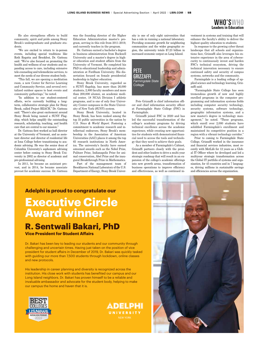He also strengthens efforts to build community, spirit and pride among Stony Brook's undergraduate and graduate students.

"We are excited to return to in-person events, including special traditions like Roth Regatta and Brookfest, Dr. Gatteau said. "We've also focused on promoting the health and wellness of our students and expanding access to care, including extensive tele-counseling and telemedicine services, to meet the needs of our diverse student body.

"This fall, we are opening a meditation room, a new Center for Service Learning and Community Service, and several revitalized outdoor spaces to host events and community gatherings," he noted.

"In addition to our student-centered efforts, we're currently building a longterm, collaborative strategic plan for Stony Brook, called Project REACH," Dr. Gatteau said. "There's also great excitement around Stony Brook being named a SUNY Flagship, which helps amplify the outstanding research, scholarship, teaching, and health care that are central to our mission."

Dr. Gatteau first worked as hall director at the University of Vermont, and as assistant director and director of residential life at Iona College before transitioning to academic advising. He was the senior dean of Columbia University's sophomore advising center before coming to Stony Brook University in 2002 as director of academic and pre-professional advising.

In 2011, he became an assistant provost, and in 2014, he became associate provost for academic success. Dr. Gatteau

was the founding director of the Higher Education Administration master's program, serving in this role from 2011-2019, and currently teaches in the program.

Dr. Gatteau earned a bachelor's degree in business administration from Bucknell University and a master's degree in higher education and student affairs from the University of Vermont. He completed his PhD in educational leadership and administration at Fordham University. His dissertation focused on female presidential leadership in higher education.

Stony Brook University, regarded as a SUNY flagship, has more than 26,000 students, 2,800 faculty members and more than 200,000 alumni, an academic medical center, 18 NCAA Division I athletic programs, and is one of only four University Center campuses in the State University of New York (SUNY) system.

Stony Brook University, located in Stony Brook, has been ranked among the top 35 public universities in the nation by *U.S. News & World Report.* Fostering a commitment to academic research and intellectual endeavors, Stony Brook's membership in the Association of American Universities (AAU) places it among the top 65 research institutions in North America. The university's faculty have earned esteemed awards such as the Nobel Prize, Pulitzer Prize, Indianapolis Prize for animal conservation, Abel Prize and the inaugural Breakthrough Prize in Mathematics.

Part of the management team of Brookhaven National Laboratory of the U.S. Department of Energy, Stony Brook University is one of only eight universities that has a role in running a national laboratory. Providing economic growth for neighboring communities and the wider geographic region, the university totals \$7.23 billion in increased economic output on Long Island.



Pete Grizzaffi is chief information officer and chief information security officer at Farmingdale State College (FSC) in Farmingdale.

Grizzaffi joined FSC in 2020 and has led the successful transformation of the college's academic programs by driving technical excellence across the academic experience, while creating new opportunities for students with demonstrated financial need to access the tools and technology that they need to achieve their goals.

As a member of Farmingdale's Cabinet, Grizzaffi partners closely with the president and other leaders to drive a multi-year strategic roadmap that will result in an expansion of the college's academic offerings into new growth areas, transformation of business operations to improve efficiency and effectiveness, as well as continued investment in systems and training that will enhance the faculty's ability to deliver the highest quality education to students.

In response to the growing cyber threat landscape that all schools and organizations face, Grizzaffi also leverages his extensive experience in the area of cybersecurity to continuously invest and harden FSC's technical ecosystem, driving the technical innovation necessary to ensure continued safety and security of campus systems, networks and the community.

Farmingdale is a leading college of applied science and technology learning, Grizzaffi said.

"Farmingdale State College has seen tremendous growth of new and highly enrolled programs in the computer programming and information systems fields including computer security technology, security systems, software technology, geographic information systems, and a new master's degree in technology management," he noted. "These programs, which enroll over 2,000 students have solidified Farmingdale's enrollment and maintained its competitive position in a region with a vibrant technology corridor."

Prior to coming to Farmingdale State College, Grizzaffi worked in the insurance and financial services industries, most recently with MetLife for 12 years as a Global IT Officer where he developed and led a multiyear strategic transformation across the Global IT portfolio of systems and organization, for 45 countries and in 7 languages, driving millions in sustainable savings and efficiencies across the organization.

## **Adelphi is proud to congratulate our Executive Circle Award winner**

#### **R. Sentwali Bakari, PhD Vice President for Student Affairs**

Dr. Bakari has been key to leading our students and our community through challenging and uncertain times. Having just taken on the position of vice president for student affairs in December of 2019, Dr. Bakari was quickly tasked with guiding our more than 7,500 students through lockdown, online classes and new protocols.

His leadership in career planning and diversity is recognized across the institution. His close work with students has benefited our campus and our Long Island neighbors. Dr. Bakari has proven himself to be a reliable and invaluable ambassador and advocate for the student body, helping to make our campus the home and haven that it is.



ADELPHI UNIVERSITY **NEW YORK** 

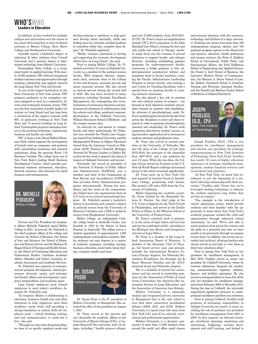In addition, he has worked for multiple colleges and universities over the course of his career delivering best in class technical solutions to Boston College, Bryn Mawr College and Northeastern University.

Grizzaffi earned a bachelor's degree in industrial & labor relations from Cornell University and a master's degree in information technology from Hofstra University.

Farmingdale State College is a recognized leader in applied learning. With nearly 10,000 students, FSC delivers exceptional student outcomes and opportunities through teaching, scholarship and applied research for Long Island, New York and beyond.

As one of the largest institutions in the State University of New York system, FSC prepares graduates to be exemplary citizens equipped to excel in a competitive, diverse and technically dynamic society. FSC was the first institution of public higher education on Long Island and has long been a cornerstone of the region's economy with 96% of graduates working in New York State and 75 percent working on Long Island. Farmingdale prepares emerging leaders in the growing technology, engineering, business and health care fields.

FSC is home to the Broad Hollow Bioscience Park, which supports the development of biotech start-up companies and partners with surrounding businesses and research institutions along the growing Route 110 Business Corridor. The college hosts one of New York State's leading Small Business Development Centers, which provides professional business advisement, education, network resources, and advocates for small business and entrepreneurs.



Provost and Vice President for Academic Affairs Michelle Piskulich joined Molloy College in 2021. As provost, Dr. Piskulich is the chief academic officer of the college and oversees the School of Business, the School of Arts and Sciences, the School of Education and Human Service and the Barbara H. Hagan School of Nursing and Health Sciences, the School of Continuing Education and Professional Studies, Graduate Academic Affairs, Blended and Online Learning, Academic Assessment and Academic Services.

Dr. Piskulich has expertise in entrepreneurial program development, shared governance, diversity, equity, and inclusion, and faculty affairs and development, emergency preparedness, and academic space.

Long Island employers need trained employees to meet today's workforce demands, Dr. Piskulich said.

"In response, Molloy is collaborating in education, business, health care and other industries to help employers meet their workforce needs while still providing a strong foundation in critical skills all employers want – critical thinking, writing, and oral communication, to name but a few," she said.

"Through our more than 20 partnerships, we hone in on specific employer needs and

develop training or pathways to help partners develop talent internally, while also finding ways for currently enrolled students to contribute while they complete their degree," Dr. Piskulich explained.

"Molloy remains committed to fueling and supporting the economic development efforts here on Long Island," she said.

Prior to joining Molloy College, Dr. Piskulich served for 32 years at Oakland University as a member of the political science faculty, MPA program director, department chair, associate dean in the College of Arts and Sciences, associate provost and senior associate provost. She also served as interim provost during the second half of 2020. She has been involved in many initiatives including Strategic Enrollment Management, the reimagining and recentralization of continuing education and professional development in collaboration with the schools and college, pandemic response, development of the Oakland University William Beaumont School of Medicine, and the campus master plan.

An advocate for, and mentor to, women faculty and other professionals, Dr. Piskulich was awarded the Phyllis Law Googasian Award from Oakland University and the Distinguished Woman in Higher Education Award from the American Council on Education (ACE) Women's Network Michigan Network for Women Leaders in Higher Education for her work to improve the status of women at Oakland University and beyond.

Nationally she served as president of the Network of Schools of Public Affairs and Administration (NASPAA), was a member and chair of the Commission on Peer Review and Accreditation (COPRA) that accredits Public Administration programs internationally. During her presidency and her work on the commission, she helped move the organization from its U.S. focus to its current international footprint. Dr. Piskulich earned a bachelor's degree in journalism and a master's degree in political science from the University of Missouri-Columbia and a PhD in political science from Binghamton University.

Molloy College, an independent Catholic college based in Rockville Centre, was founded in 1955 by the Sisters of Saint Dominic in Amityville. The college serves a student population of approximately 4,800 undergraduate and graduate students. Molloy students can earn degrees in a variety of academic programs, including nursing, business, education, social work, music therapy, computer studies and more.



Dr. Susan Poser is the 9<sup>th</sup> president of Hofstra University in Hempstead. She assumed the office of the president on August 1, 2021.

Dr. Poser served as the provost and vice chancellor for academic affairs at the University of Illinois Chicago (UIC), a Carnegie Research One university with 16 colleges, including 7 health sciences colleges,

and over 33,000 students, from 2016-2021. At UIC, Dr. Poser's major accomplishments include UIC's 2019 acquisition of the John Marshall Law School, creating the first and only public law school in Chicago. Another major focus was the creation of several initiatives to support faculty and enhance diversity, including establishing pipeline programs for underrepresented faculty; overseeing a bridge program to hire underrepresented postdoctoral fellows and transition them to faculty positions; creating the Faculty Administrator Leadership Program to mentor faculty; and creating a new Center for Teaching Excellence with a special focus on assisting faculty in creating inclusive classrooms.

She also played a key role in creating two new cultural centers on campus – one focused on Arab American students and another focused on students with disabilities. An advocate of interdisciplinary work, Dr. Poser created regular forums for faculty from across the disciplines to meet and share research in order to generate interdisciplinary research and scholarship. Dr. Poser's work supporting data-driven student success using innovative approaches led to increases in student retention and graduation rates.

Dr. Poser also served in several positions at the University of Nebraska. She was the dean of the College of Law from 2010-2016, the associate to the chancellor from 2007-2010, and a law professor for over 15 years. While she was dean, the College of Law moved up 35 points in the U.S. News & World Report rankings and annual giving to the school increased significantly.

Dr. Poser grew up in New York City and majored in Ancient Greek at Swarthmore College, graduating with honors. She earned a JD and a PhD from the University of California.

Before beginning her academic career, Dr. Poser clerked for the Honorable Dolores K. Sloviter, the chief judge of the U.S. Court of Appeals for the Third Circuit in Philadelphia, and served as the Zicklin Fellow in Ethics at the Wharton School at the University of Pennsylvania.

Dr. Poser's scholarly work is primarily in the areas of legal ethics and tort law and she has published widely, including in the *Michigan Law Review* and *Georgetown Journal of Legal Ethics*.

Dr. Poser is a member of the Long Island Association Board of Directors. A member of the Economic Club of Chicago, her board service, past and present, includes the International Women's Forum (Chicago chapter), the Nebraska Humanities Foundation, the Strategic Air & Space Museum (Omaha) and the ACLU (national board and Nebraska chapter).

She is a member of several bar associations and has served in leadership positions for the Association of Public & Land Grant Universities, the American Bar Association Section on Legal Education, and the Association of American Law Schools.

Hofstra University is a nationally ranked and recognized private university in Hempstead that is the only school to ever host three consecutive presidential debates (2008, 2012 and 2016). Hofstra University is a quick train ride away from New York City and all its cultural, recreational and professional opportunities.

Hofstra University is a dynamic community of more than 11,000 students from around the world and offers small classes

and personal attention, with the resources, technology and facilities of a large university. Students can choose from more than 160 undergraduate program options and 165 graduate program options in the liberal arts and sciences, education, health professions and human services, the Peter S. Kalikow School of Government, Public Policy and International Affairs, the Fred DeMatteis School of Engineering and Applied Science, the Frank G. Zarb School of Business, the Lawrence Herbert School of Communication, the Maurice A. Deane School of Law, the Hofstra Northwell School of Graduate Nursing and Physician Assistant Studies, and the Donald and Barbara Zucker School of Medicine at Hofstra/Northwell.



Joseph Posillico, Ed.D., CPA is vice president for enrollment management and interim vice president for strategic communications at New York Institute of Technology (New York Tech). Posillico has nearly 30 years of higher education experience in strategic enrollment management, student financial services and recruitment and retention.

"At New York Tech, we know that enrollment is just the beginning of a student's life-long relationship with their university," Posillico said. "Given this, we've leveraged exciting technology to enhance the student experience long before they set foot on campus."

"One example is the introduction of virtual admissions events, which provide students and their families with the opportunity to learn about New York Tech's academic programs, student life, clubs and organizations through enhanced virtual interaction," he said. "We're now able to reach students from across the country and the globe in a powerful way that we were unable to do previously through on-campus events alone. In addition, the events are recorded and archived, allowing families who cannot attend in real time to view them as their busy schedules allow."

Prior to joining New York Tech as vice president for enrollment management in May 2019, Posillico served as senior vice president for Caldwell University, where he oversaw admissions, financial aid, marketing, communications, registrar, athletics, finance, and facilities operations. He also served as acting president in June-July 2016, and vice president for enrollment management from February 2005 to December 2015. During his time at Caldwell, the university experienced significant increases in undergraduate enrollment and first-year retention.

Prior to joining Caldwell, Posillico held positions of increasing responsibility at Adelphi University for nearly 14 years, including the role of assistant vice president for enrollment management from 2001 to 2005. In this capacity, he directed strategic enrollment planning, marketing and advertising, budgeting, systems development and staff training, and helped to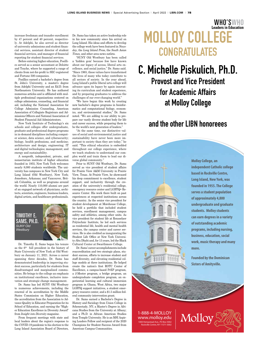increase freshman and transfer enrollment by 47 percent and 40 percent, respectively. At Adelphi, he also served as director of university admissions and student financial services, assistant director of student financial services, and manager of financial reporting for student financial services.

Before entering higher education, Posillico served as a senior accountant at Deloitte and Touche, where he supported a range of clients from not-for-profit to SEC-registered and Fortune 500 companies.

Posillico earned a bachelor's degree from St. John's University, a master's degree from Adelphi University and an Ed.D. from Northeastern University. He has authored numerous articles and is affiliated with multiple professional organizations centered on college admissions, counseling, and financial aid, including the National Association for College Admission Counseling, American Association of Collegiate Registrars and Admissions Officers and National Association of Student Financial Aid Administrators.

New York Institute of Technology's six schools and colleges offer undergraduate, graduate and professional degree programs in in-demand disciplines including computer science, data science, and cybersecurity; biology, health professions, and medicine; architecture and design; engineering; IT and digital technologies; management; and energy and sustainability.

A nonprofit, independent, private, and nonsectarian institute of higher education founded in 1955, New York Tech welcomes nearly 8,000 students worldwide. The university has campuses in New York City and Long Island (Old Westbury), New York; Jonesboro, Arkansas; and Vancouver, British Columbia, as well as programs around the world. Nearly 110,000 alumni are part of an engaged network of physicians, architects, scientists, engineers, business leaders, digital artists, and healthcare professionals.



Dr. Timothy E. Sams began his tenure as the 6<sup>th</sup> full president in the history of State University of New York at Old Westbury on January 11, 2021. Across a career spanning three decades, Dr. Sams has demonstrated leadership in improving student success, particularly for students from disadvantaged and marginalized communities. He brings to the college an emphasis on institutional excellence, inclusive innovation and strategic change management.

Dr. Sams has led SUNY Old Westbury to numerous achievements, including the renewal of its accreditation by the Middle States Commission on Higher Education, the accreditation from the Association to Advance Quality in Educator Preparation for its School of Education, and earning the "Higher Education Excellence in Diversity Award" from *Insight into Diversity* magazine.

From frequent meetings with state and local leaders about the region's response to the COVID-19 pandemic to his election to the Long Island Association Board of Directors, Dr. Sams has taken an active leadership role in his new community since his arrival on Long Island. His ideas and efforts to develop the college work have been featured in *Newsday*, the *Long Island Press*, the *South Asian Times*, and other area news outlets.

"SUNY Old Westbury has been called a 'hidden gem' because few have known about our legacy of access, liberal arts excellence, and social justice," Dr. Sams said. "Since 1965, these values have transformed the lives of many who today contribute to all sectors of society. In the year ahead, Long Island's public liberal arts college will advance upon its legacy by again innovating its curriculum and student experience, and by preparing graduates to address the challenges of our ever-changing world."

"We have begun this work by creating new bachelor's degree programs in bioinformatics and computational biology, economics, and environmental studies," Dr. Sams noted. "We are adding to our ability to prepare our vastly diverse student body for life and career success, while preparing them to be the world's next generation of leaders."

"At the same time, our distinctive values of social and environmental justice and sustainability have never been more important to society than they are today," he said. "This ethical education is embedded throughout our college experience, where we teach students to understand our complex world and train them to lead our diverse global community."

Prior to SUNY Old Westbury, Dr. Sams served as vice president of student affairs for Prairie View A&M University in Prairie View, Texas. At Prairie View, he showcased his deep commitment to excellence, student support, and inclusivity through the creation of the university's residential college, emergency resource center and LGBTQ+ Resource Center. His work there built on past experiences at respected institutions across the country. As the senior vice president for student development at Morehouse College, he held a portfolio that included student services, enrollment management, campus safety and athletics, among other units. As vice president for student life at Rensselaer Polytechnic Institute, he led such services as residential life, health and mental health services, the campus center and career services. He is also credited as inaugurating the Student Life Office at New York University-Abu Dhabi and, for 13 years, led the Black Cultural Center at Swarthmore College.

Dr. Sams' career accomplishments include reaccreditation and two strategic plans, student success, efforts to increase student and staff diversity, and elevating residential college models at three institutions. He helped create the nation's first ROTC Center of Excellence, a campus-based PrEP program, a J-Mester program, a bridge program, an undergraduate completion program, an experiential learning and cultural immersion program in Ghana, West Africa, two major LGBTQ support initiatives, a student emergency resource center, and a \$1.5 million federal community intervention grant.

Dr. Sams earned a Bachelor's Degree in History and Sociology from Union College in Schenectady, NY; a Master's Degree in Africana Studies from the University at Albany; and a Ph.D. in African American Studies from Temple University. He is an MSI Aspiring Leaders Fellow and recipient of the 2020 Champions for Student Success Award from American Campus Communities.

### **Leaders in Education** molloy college **CONGRATULATES** WHO'SWHO

## c. michelle Piskulich, Ph.D.

Provost and Vice President for Academic Affairs at molloy college

#### and the other lIBN honoreees

**Molloy College, an independent Catholic college based in Rockville Centre, Long Island, New York, was founded in 1955. The College serves a student population of approximately 4,800 undergraduate and graduate students. Molloy students can earn degrees in a variety of outstanding academic programs, including nursing, business, education, social work, music therapy and many more.**

**Founded by the Dominican Sisters of Amityville.**

Molloy $\frac{\epsilon}{C}$ 

1-888-4-MOLLOY www.molloy.edu 1000 Hempstead Ave., PO Box 5002 Rockville Centre, NY 11571-5002

**MINIMARY**